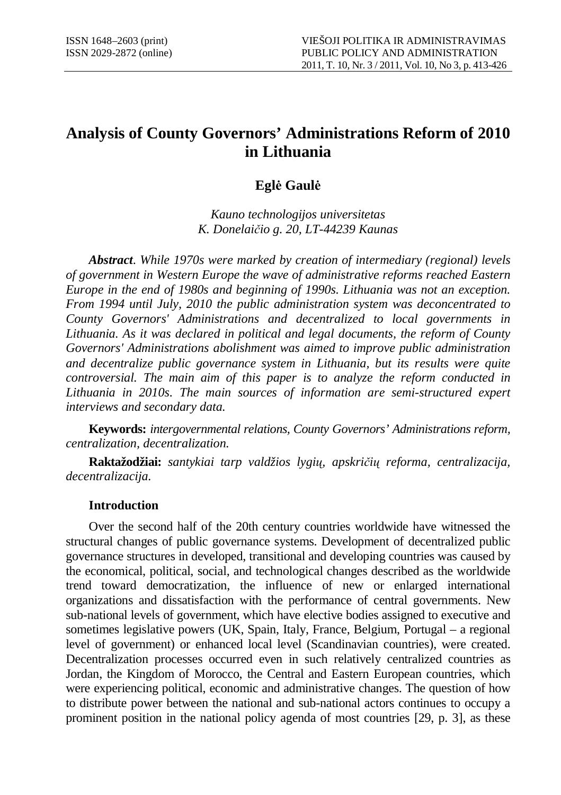# **Analysis of County Governors' Administrations Reform of 2010 in Lithuania**

## **Egl**÷ **Gaul**÷

*Kauno technologijos universitetas K. Donelai*č*io g. 20, LT-44239 Kaunas* 

*Abstract*. *While 1970s were marked by creation of intermediary (regional) levels of government in Western Europe the wave of administrative reforms reached Eastern Europe in the end of 1980s and beginning of 1990s. Lithuania was not an exception. From 1994 until July, 2010 the public administration system was deconcentrated to County Governors' Administrations and decentralized to local governments in Lithuania. As it was declared in political and legal documents, the reform of County Governors' Administrations abolishment was aimed to improve public administration and decentralize public governance system in Lithuania, but its results were quite controversial. The main aim of this paper is to analyze the reform conducted in Lithuania in 2010s. The main sources of information are semi-structured expert interviews and secondary data.* 

**Keywords:** *intergovernmental relations, County Governors' Administrations reform, centralization, decentralization.*

**Raktažodžiai:** *santykiai tarp valdžios lygi*ų*, apskri*č*i*ų *reforma, centralizacija, decentralizacija.* 

## **Introduction**

Over the second half of the 20th century countries worldwide have witnessed the structural changes of public governance systems. Development of decentralized public governance structures in developed, transitional and developing countries was caused by the economical, political, social, and technological changes described as the worldwide trend toward democratization, the influence of new or enlarged international organizations and dissatisfaction with the performance of central governments. New sub-national levels of government, which have elective bodies assigned to executive and sometimes legislative powers (UK, Spain, Italy, France, Belgium, Portugal – a regional level of government) or enhanced local level (Scandinavian countries), were created. Decentralization processes occurred even in such relatively centralized countries as Jordan, the Kingdom of Morocco, the Central and Eastern European countries, which were experiencing political, economic and administrative changes. The question of how to distribute power between the national and sub-national actors continues to occupy a prominent position in the national policy agenda of most countries [29, p. 3], as these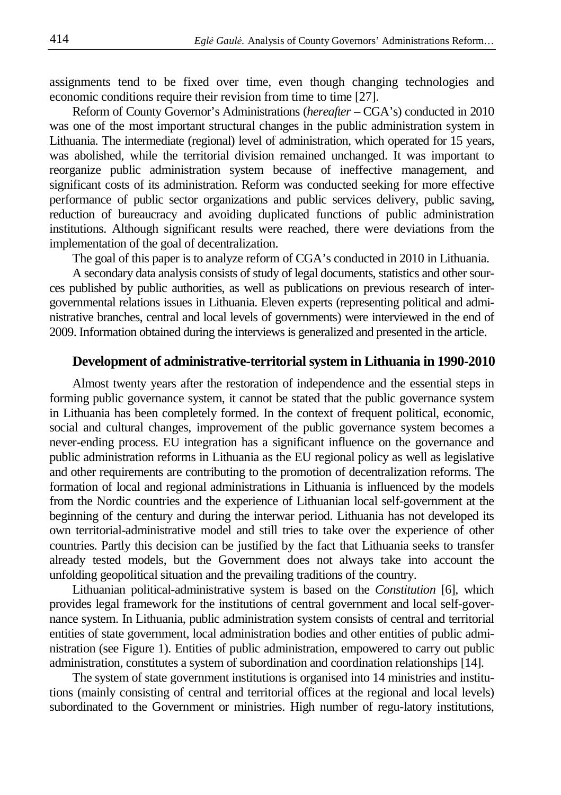assignments tend to be fixed over time, even though changing technologies and economic conditions require their revision from time to time [27].

Reform of County Governor's Administrations (*hereafter* – CGA's) conducted in 2010 was one of the most important structural changes in the public administration system in Lithuania. The intermediate (regional) level of administration, which operated for 15 years, was abolished, while the territorial division remained unchanged. It was important to reorganize public administration system because of ineffective management, and significant costs of its administration. Reform was conducted seeking for more effective performance of public sector organizations and public services delivery, public saving, reduction of bureaucracy and avoiding duplicated functions of public administration institutions. Although significant results were reached, there were deviations from the implementation of the goal of decentralization.

The goal of this paper is to analyze reform of CGA's conducted in 2010 in Lithuania.

A secondary data analysis consists of study of legal documents, statistics and other sources published by public authorities, as well as publications on previous research of intergovernmental relations issues in Lithuania. Eleven experts (representing political and administrative branches, central and local levels of governments) were interviewed in the end of 2009. Information obtained during the interviews is generalized and presented in the article.

## **Development of administrative-territorial system in Lithuania in 1990-2010**

Almost twenty years after the restoration of independence and the essential steps in forming public governance system, it cannot be stated that the public governance system in Lithuania has been completely formed. In the context of frequent political, economic, social and cultural changes, improvement of the public governance system becomes a never-ending process. EU integration has a significant influence on the governance and public administration reforms in Lithuania as the EU regional policy as well as legislative and other requirements are contributing to the promotion of decentralization reforms. The formation of local and regional administrations in Lithuania is influenced by the models from the Nordic countries and the experience of Lithuanian local self-government at the beginning of the century and during the interwar period. Lithuania has not developed its own territorial-administrative model and still tries to take over the experience of other countries. Partly this decision can be justified by the fact that Lithuania seeks to transfer already tested models, but the Government does not always take into account the unfolding geopolitical situation and the prevailing traditions of the country.

Lithuanian political-administrative system is based on the *Constitution* [6], which provides legal framework for the institutions of central government and local self-governance system. In Lithuania, public administration system consists of central and territorial entities of state government, local administration bodies and other entities of public administration (see Figure 1). Entities of public administration, empowered to carry out public administration, constitutes a system of subordination and coordination relationships [14].

The system of state government institutions is organised into 14 ministries and institutions (mainly consisting of central and territorial offices at the regional and local levels) subordinated to the Government or ministries. High number of regu-latory institutions,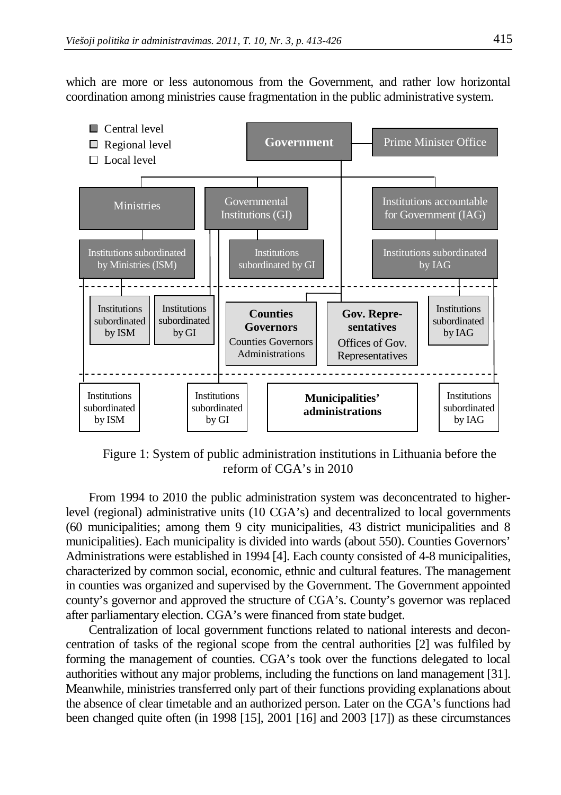which are more or less autonomous from the Government, and rather low horizontal coordination among ministries cause fragmentation in the public administrative system.



Figure 1: System of public administration institutions in Lithuania before the reform of CGA's in 2010

From 1994 to 2010 the public administration system was deconcentrated to higherlevel (regional) administrative units (10 CGA's) and decentralized to local governments (60 municipalities; among them 9 city municipalities, 43 district municipalities and 8 municipalities). Each municipality is divided into wards (about 550). Counties Governors' Administrations were established in 1994 [4]. Each county consisted of 4-8 municipalities, characterized by common social, economic, ethnic and cultural features. The management in counties was organized and supervised by the Government. The Government appointed county's governor and approved the structure of CGA's. County's governor was replaced after parliamentary election. CGA's were financed from state budget.

Centralization of local government functions related to national interests and deconcentration of tasks of the regional scope from the central authorities [2] was fulfiled by forming the management of counties. CGA's took over the functions delegated to local authorities without any major problems, including the functions on land management [31]. Meanwhile, ministries transferred only part of their functions providing explanations about the absence of clear timetable and an authorized person. Later on the CGA's functions had been changed quite often (in 1998 [15], 2001 [16] and 2003 [17]) as these circumstances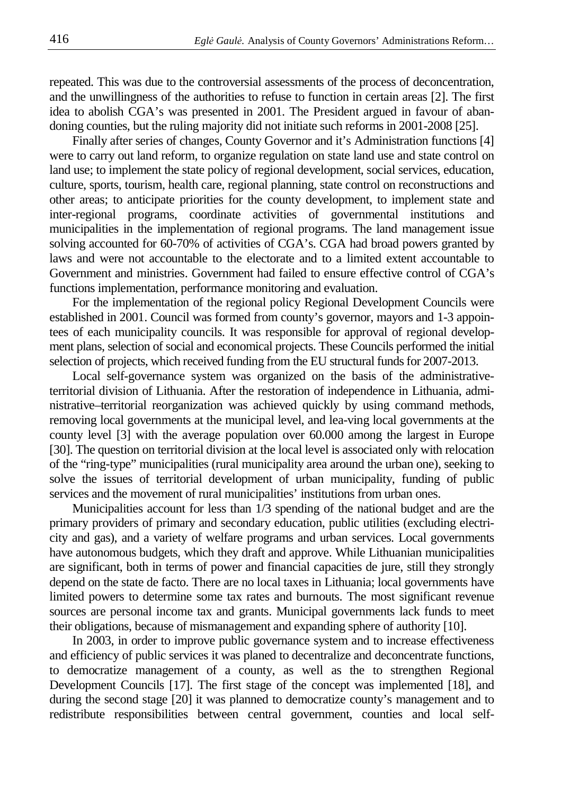repeated. This was due to the controversial assessments of the process of deconcentration, and the unwillingness of the authorities to refuse to function in certain areas [2]. The first idea to abolish CGA's was presented in 2001. The President argued in favour of abandoning counties, but the ruling majority did not initiate such reforms in 2001-2008 [25].

Finally after series of changes, County Governor and it's Administration functions [4] were to carry out land reform, to organize regulation on state land use and state control on land use; to implement the state policy of regional development, social services, education, culture, sports, tourism, health care, regional planning, state control on reconstructions and other areas; to anticipate priorities for the county development, to implement state and inter-regional programs, coordinate activities of governmental institutions and municipalities in the implementation of regional programs. The land management issue solving accounted for 60-70% of activities of CGA's. CGA had broad powers granted by laws and were not accountable to the electorate and to a limited extent accountable to Government and ministries. Government had failed to ensure effective control of CGA's functions implementation, performance monitoring and evaluation.

For the implementation of the regional policy Regional Development Councils were established in 2001. Council was formed from county's governor, mayors and 1-3 appointees of each municipality councils. It was responsible for approval of regional development plans, selection of social and economical projects. These Councils performed the initial selection of projects, which received funding from the EU structural funds for 2007-2013.

Local self-governance system was organized on the basis of the administrativeterritorial division of Lithuania. After the restoration of independence in Lithuania, administrative–territorial reorganization was achieved quickly by using command methods, removing local governments at the municipal level, and lea-ving local governments at the county level [3] with the average population over 60.000 among the largest in Europe [30]. The question on territorial division at the local level is associated only with relocation of the "ring-type" municipalities (rural municipality area around the urban one), seeking to solve the issues of territorial development of urban municipality, funding of public services and the movement of rural municipalities' institutions from urban ones.

Municipalities account for less than 1/3 spending of the national budget and are the primary providers of primary and secondary education, public utilities (excluding electricity and gas), and a variety of welfare programs and urban services. Local governments have autonomous budgets, which they draft and approve. While Lithuanian municipalities are significant, both in terms of power and financial capacities de jure, still they strongly depend on the state de facto. There are no local taxes in Lithuania; local governments have limited powers to determine some tax rates and burnouts. The most significant revenue sources are personal income tax and grants. Municipal governments lack funds to meet their obligations, because of mismanagement and expanding sphere of authority [10].

In 2003, in order to improve public governance system and to increase effectiveness and efficiency of public services it was planed to decentralize and deconcentrate functions, to democratize management of a county, as well as the to strengthen Regional Development Councils [17]. The first stage of the concept was implemented [18], and during the second stage [20] it was planned to democratize county's management and to redistribute responsibilities between central government, counties and local self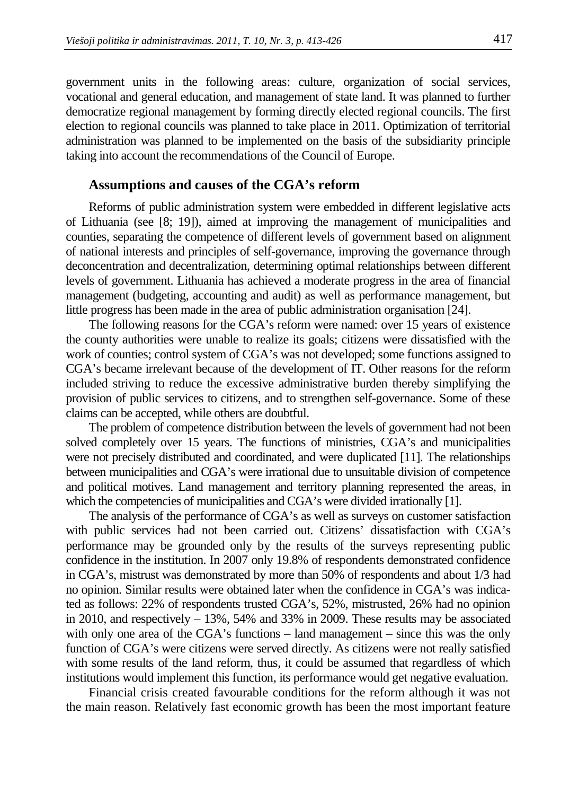government units in the following areas: culture, organization of social services, vocational and general education, and management of state land. It was planned to further democratize regional management by forming directly elected regional councils. The first election to regional councils was planned to take place in 2011. Optimization of territorial administration was planned to be implemented on the basis of the subsidiarity principle taking into account the recommendations of the Council of Europe.

#### **Assumptions and causes of the CGA's reform**

Reforms of public administration system were embedded in different legislative acts of Lithuania (see [8; 19]), aimed at improving the management of municipalities and counties, separating the competence of different levels of government based on alignment of national interests and principles of self-governance, improving the governance through deconcentration and decentralization, determining optimal relationships between different levels of government. Lithuania has achieved a moderate progress in the area of financial management (budgeting, accounting and audit) as well as performance management, but little progress has been made in the area of public administration organisation [24].

The following reasons for the CGA's reform were named: over 15 years of existence the county authorities were unable to realize its goals; citizens were dissatisfied with the work of counties; control system of CGA's was not developed; some functions assigned to CGA's became irrelevant because of the development of IT. Other reasons for the reform included striving to reduce the excessive administrative burden thereby simplifying the provision of public services to citizens, and to strengthen self-governance. Some of these claims can be accepted, while others are doubtful.

The problem of competence distribution between the levels of government had not been solved completely over 15 years. The functions of ministries, CGA's and municipalities were not precisely distributed and coordinated, and were duplicated [11]. The relationships between municipalities and CGA's were irrational due to unsuitable division of competence and political motives. Land management and territory planning represented the areas, in which the competencies of municipalities and CGA's were divided irrationally [1].

The analysis of the performance of CGA's as well as surveys on customer satisfaction with public services had not been carried out. Citizens' dissatisfaction with CGA's performance may be grounded only by the results of the surveys representing public confidence in the institution. In 2007 only 19.8% of respondents demonstrated confidence in CGA's, mistrust was demonstrated by more than 50% of respondents and about 1/3 had no opinion. Similar results were obtained later when the confidence in CGA's was indicated as follows: 22% of respondents trusted CGA's, 52%, mistrusted, 26% had no opinion in 2010, and respectively – 13%, 54% and 33% in 2009. These results may be associated with only one area of the CGA's functions – land management – since this was the only function of CGA's were citizens were served directly. As citizens were not really satisfied with some results of the land reform, thus, it could be assumed that regardless of which institutions would implement this function, its performance would get negative evaluation.

Financial crisis created favourable conditions for the reform although it was not the main reason. Relatively fast economic growth has been the most important feature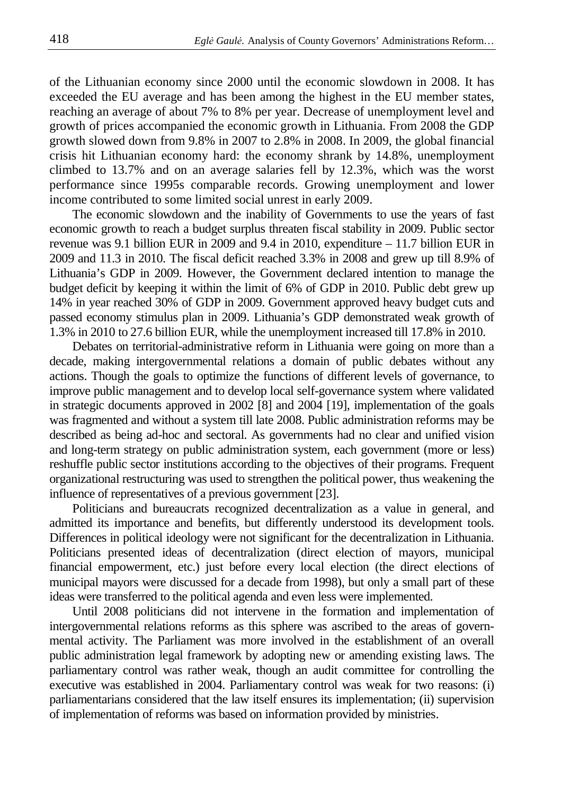of the Lithuanian economy since 2000 until the economic slowdown in 2008. It has exceeded the EU average and has been among the highest in the EU member states, reaching an average of about 7% to 8% per year. Decrease of unemployment level and growth of prices accompanied the economic growth in Lithuania. From 2008 the GDP growth slowed down from 9.8% in 2007 to 2.8% in 2008. In 2009, the global financial crisis hit Lithuanian economy hard: the economy shrank by 14.8%, unemployment climbed to 13.7% and on an average salaries fell by 12.3%, which was the worst performance since 1995s comparable records. Growing unemployment and lower income contributed to some limited social unrest in early 2009.

The economic slowdown and the inability of Governments to use the years of fast economic growth to reach a budget surplus threaten fiscal stability in 2009. Public sector revenue was 9.1 billion EUR in 2009 and 9.4 in 2010, expenditure – 11.7 billion EUR in 2009 and 11.3 in 2010. The fiscal deficit reached 3.3% in 2008 and grew up till 8.9% of Lithuania's GDP in 2009. However, the Government declared intention to manage the budget deficit by keeping it within the limit of 6% of GDP in 2010. Public debt grew up 14% in year reached 30% of GDP in 2009. Government approved heavy budget cuts and passed economy stimulus plan in 2009. Lithuania's GDP demonstrated weak growth of 1.3% in 2010 to 27.6 billion EUR, while the unemployment increased till 17.8% in 2010.

Debates on territorial-administrative reform in Lithuania were going on more than a decade, making intergovernmental relations a domain of public debates without any actions. Though the goals to optimize the functions of different levels of governance, to improve public management and to develop local self-governance system where validated in strategic documents approved in 2002 [8] and 2004 [19], implementation of the goals was fragmented and without a system till late 2008. Public administration reforms may be described as being ad-hoc and sectoral. As governments had no clear and unified vision and long-term strategy on public administration system, each government (more or less) reshuffle public sector institutions according to the objectives of their programs. Frequent organizational restructuring was used to strengthen the political power, thus weakening the influence of representatives of a previous government [23].

Politicians and bureaucrats recognized decentralization as a value in general, and admitted its importance and benefits, but differently understood its development tools. Differences in political ideology were not significant for the decentralization in Lithuania. Politicians presented ideas of decentralization (direct election of mayors, municipal financial empowerment, etc.) just before every local election (the direct elections of municipal mayors were discussed for a decade from 1998), but only a small part of these ideas were transferred to the political agenda and even less were implemented.

Until 2008 politicians did not intervene in the formation and implementation of intergovernmental relations reforms as this sphere was ascribed to the areas of governmental activity. The Parliament was more involved in the establishment of an overall public administration legal framework by adopting new or amending existing laws. The parliamentary control was rather weak, though an audit committee for controlling the executive was established in 2004. Parliamentary control was weak for two reasons: (i) parliamentarians considered that the law itself ensures its implementation; (ii) supervision of implementation of reforms was based on information provided by ministries.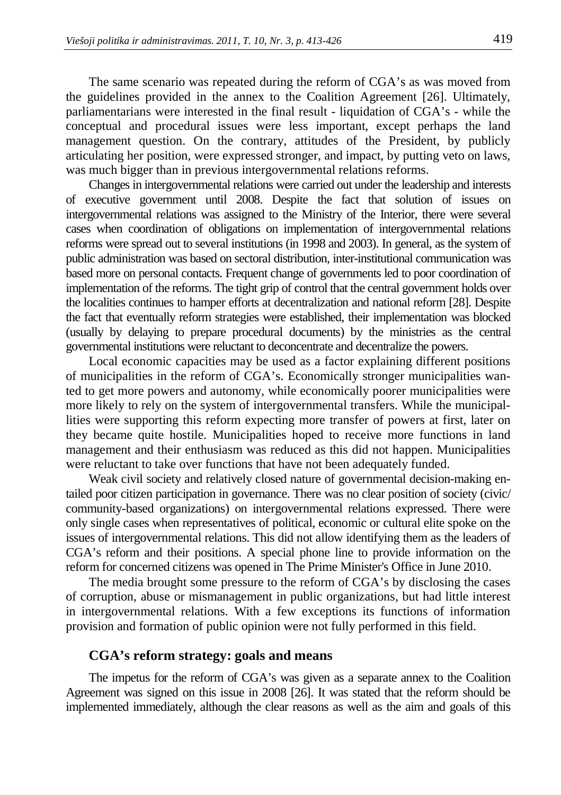The same scenario was repeated during the reform of CGA's as was moved from the guidelines provided in the annex to the Coalition Agreement [26]. Ultimately, parliamentarians were interested in the final result - liquidation of CGA's - while the conceptual and procedural issues were less important, except perhaps the land management question. On the contrary, attitudes of the President, by publicly articulating her position, were expressed stronger, and impact, by putting veto on laws, was much bigger than in previous intergovernmental relations reforms.

Changes in intergovernmental relations were carried out under the leadership and interests of executive government until 2008. Despite the fact that solution of issues on intergovernmental relations was assigned to the Ministry of the Interior, there were several cases when coordination of obligations on implementation of intergovernmental relations reforms were spread out to several institutions (in 1998 and 2003). In general, as the system of public administration was based on sectoral distribution, inter-institutional communication was based more on personal contacts. Frequent change of governments led to poor coordination of implementation of the reforms. The tight grip of control that the central government holds over the localities continues to hamper efforts at decentralization and national reform [28]. Despite the fact that eventually reform strategies were established, their implementation was blocked (usually by delaying to prepare procedural documents) by the ministries as the central governmental institutions were reluctant to deconcentrate and decentralize the powers.

Local economic capacities may be used as a factor explaining different positions of municipalities in the reform of CGA's. Economically stronger municipalities wanted to get more powers and autonomy, while economically poorer municipalities were more likely to rely on the system of intergovernmental transfers. While the municipallities were supporting this reform expecting more transfer of powers at first, later on they became quite hostile. Municipalities hoped to receive more functions in land management and their enthusiasm was reduced as this did not happen. Municipalities were reluctant to take over functions that have not been adequately funded.

Weak civil society and relatively closed nature of governmental decision-making entailed poor citizen participation in governance. There was no clear position of society (civic/ community-based organizations) on intergovernmental relations expressed. There were only single cases when representatives of political, economic or cultural elite spoke on the issues of intergovernmental relations. This did not allow identifying them as the leaders of CGA's reform and their positions. A special phone line to provide information on the reform for concerned citizens was opened in The Prime Minister's Office in June 2010.

The media brought some pressure to the reform of CGA's by disclosing the cases of corruption, abuse or mismanagement in public organizations, but had little interest in intergovernmental relations. With a few exceptions its functions of information provision and formation of public opinion were not fully performed in this field.

## **CGA's reform strategy: goals and means**

The impetus for the reform of CGA's was given as a separate annex to the Coalition Agreement was signed on this issue in 2008 [26]. It was stated that the reform should be implemented immediately, although the clear reasons as well as the aim and goals of this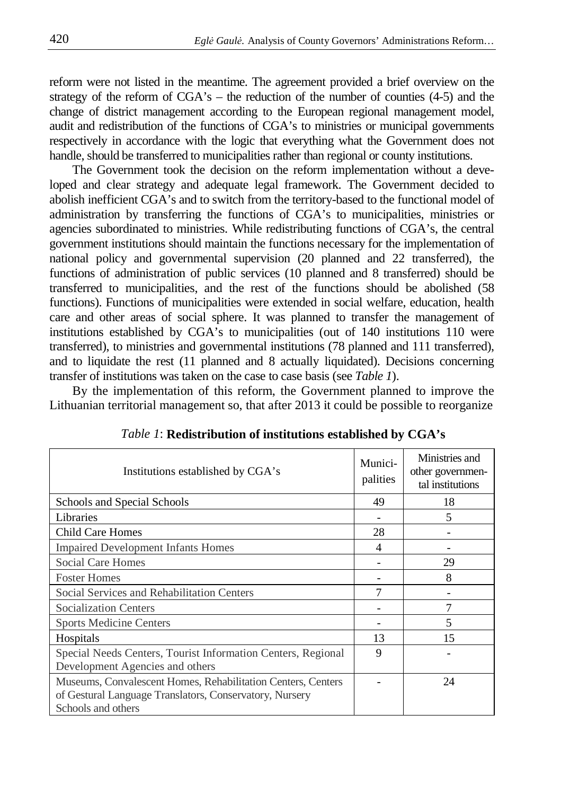reform were not listed in the meantime. The agreement provided a brief overview on the strategy of the reform of  $CGA's$  – the reduction of the number of counties  $(4-5)$  and the change of district management according to the European regional management model, audit and redistribution of the functions of CGA's to ministries or municipal governments respectively in accordance with the logic that everything what the Government does not handle, should be transferred to municipalities rather than regional or county institutions.

The Government took the decision on the reform implementation without a developed and clear strategy and adequate legal framework. The Government decided to abolish inefficient CGA's and to switch from the territory-based to the functional model of administration by transferring the functions of CGA's to municipalities, ministries or agencies subordinated to ministries. While redistributing functions of CGA's, the central government institutions should maintain the functions necessary for the implementation of national policy and governmental supervision (20 planned and 22 transferred), the functions of administration of public services (10 planned and 8 transferred) should be transferred to municipalities, and the rest of the functions should be abolished (58 functions). Functions of municipalities were extended in social welfare, education, health care and other areas of social sphere. It was planned to transfer the management of institutions established by CGA's to municipalities (out of 140 institutions 110 were transferred), to ministries and governmental institutions (78 planned and 111 transferred), and to liquidate the rest (11 planned and 8 actually liquidated). Decisions concerning transfer of institutions was taken on the case to case basis (see *Table 1*).

By the implementation of this reform, the Government planned to improve the Lithuanian territorial management so, that after 2013 it could be possible to reorganize

| Institutions established by CGA's                                                                                                             | Munici-<br>palities | Ministries and<br>other governmen-<br>tal institutions |
|-----------------------------------------------------------------------------------------------------------------------------------------------|---------------------|--------------------------------------------------------|
| Schools and Special Schools                                                                                                                   | 49                  | 18                                                     |
| Libraries                                                                                                                                     |                     | 5                                                      |
| Child Care Homes                                                                                                                              | 28                  |                                                        |
| <b>Impaired Development Infants Homes</b>                                                                                                     | 4                   |                                                        |
| Social Care Homes                                                                                                                             |                     | 29                                                     |
| <b>Foster Homes</b>                                                                                                                           |                     | 8                                                      |
| Social Services and Rehabilitation Centers                                                                                                    | 7                   |                                                        |
| <b>Socialization Centers</b>                                                                                                                  |                     | 7                                                      |
| <b>Sports Medicine Centers</b>                                                                                                                |                     | 5                                                      |
| Hospitals                                                                                                                                     | 13                  | 15                                                     |
| Special Needs Centers, Tourist Information Centers, Regional<br>Development Agencies and others                                               | 9                   |                                                        |
| Museums, Convalescent Homes, Rehabilitation Centers, Centers<br>of Gestural Language Translators, Conservatory, Nursery<br>Schools and others |                     | 24                                                     |

*Table 1*: **Redistribution of institutions established by CGA's**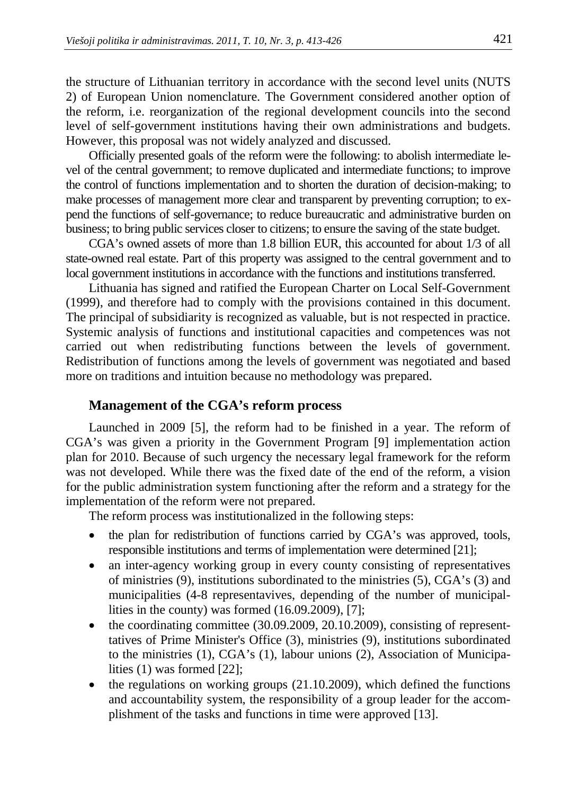the structure of Lithuanian territory in accordance with the second level units (NUTS 2) of European Union nomenclature. The Government considered another option of the reform, i.e. reorganization of the regional development councils into the second level of self-government institutions having their own administrations and budgets. However, this proposal was not widely analyzed and discussed.

Officially presented goals of the reform were the following: to abolish intermediate level of the central government; to remove duplicated and intermediate functions; to improve the control of functions implementation and to shorten the duration of decision-making; to make processes of management more clear and transparent by preventing corruption; to expend the functions of self-governance; to reduce bureaucratic and administrative burden on business; to bring public services closer to citizens; to ensure the saving of the state budget.

CGA's owned assets of more than 1.8 billion EUR, this accounted for about 1/3 of all state-owned real estate. Part of this property was assigned to the central government and to local government institutions in accordance with the functions and institutions transferred.

Lithuania has signed and ratified the European Charter on Local Self-Government (1999), and therefore had to comply with the provisions contained in this document. The principal of subsidiarity is recognized as valuable, but is not respected in practice. Systemic analysis of functions and institutional capacities and competences was not carried out when redistributing functions between the levels of government. Redistribution of functions among the levels of government was negotiated and based more on traditions and intuition because no methodology was prepared.

## **Management of the CGA's reform process**

Launched in 2009 [5], the reform had to be finished in a year. The reform of CGA's was given a priority in the Government Program [9] implementation action plan for 2010. Because of such urgency the necessary legal framework for the reform was not developed. While there was the fixed date of the end of the reform, a vision for the public administration system functioning after the reform and a strategy for the implementation of the reform were not prepared.

The reform process was institutionalized in the following steps:

- the plan for redistribution of functions carried by CGA's was approved, tools, responsible institutions and terms of implementation were determined [21];
- an inter-agency working group in every county consisting of representatives of ministries (9), institutions subordinated to the ministries (5), CGA's (3) and municipalities (4-8 representavives, depending of the number of municipallities in the county) was formed (16.09.2009), [7];
- the coordinating committee (30.09.2009, 20.10.2009), consisting of representtatives of Prime Minister's Office (3), ministries (9), institutions subordinated to the ministries (1), CGA's (1), labour unions (2), Association of Municipalities (1) was formed [22];
- the regulations on working groups  $(21.10.2009)$ , which defined the functions and accountability system, the responsibility of a group leader for the accomplishment of the tasks and functions in time were approved [13].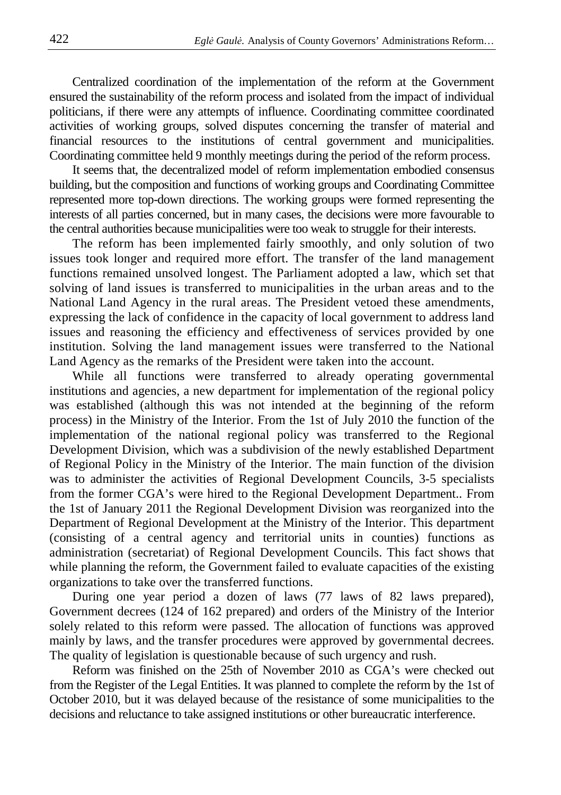Centralized coordination of the implementation of the reform at the Government ensured the sustainability of the reform process and isolated from the impact of individual politicians, if there were any attempts of influence. Coordinating committee coordinated activities of working groups, solved disputes concerning the transfer of material and financial resources to the institutions of central government and municipalities. Coordinating committee held 9 monthly meetings during the period of the reform process.

It seems that, the decentralized model of reform implementation embodied consensus building, but the composition and functions of working groups and Coordinating Committee represented more top-down directions. The working groups were formed representing the interests of all parties concerned, but in many cases, the decisions were more favourable to the central authorities because municipalities were too weak to struggle for their interests.

The reform has been implemented fairly smoothly, and only solution of two issues took longer and required more effort. The transfer of the land management functions remained unsolved longest. The Parliament adopted a law, which set that solving of land issues is transferred to municipalities in the urban areas and to the National Land Agency in the rural areas. The President vetoed these amendments, expressing the lack of confidence in the capacity of local government to address land issues and reasoning the efficiency and effectiveness of services provided by one institution. Solving the land management issues were transferred to the National Land Agency as the remarks of the President were taken into the account.

While all functions were transferred to already operating governmental institutions and agencies, a new department for implementation of the regional policy was established (although this was not intended at the beginning of the reform process) in the Ministry of the Interior. From the 1st of July 2010 the function of the implementation of the national regional policy was transferred to the Regional Development Division, which was a subdivision of the newly established Department of Regional Policy in the Ministry of the Interior. The main function of the division was to administer the activities of Regional Development Councils, 3-5 specialists from the former CGA's were hired to the Regional Development Department.. From the 1st of January 2011 the Regional Development Division was reorganized into the Department of Regional Development at the Ministry of the Interior. This department (consisting of a central agency and territorial units in counties) functions as administration (secretariat) of Regional Development Councils. This fact shows that while planning the reform, the Government failed to evaluate capacities of the existing organizations to take over the transferred functions.

During one year period a dozen of laws (77 laws of 82 laws prepared), Government decrees (124 of 162 prepared) and orders of the Ministry of the Interior solely related to this reform were passed. The allocation of functions was approved mainly by laws, and the transfer procedures were approved by governmental decrees. The quality of legislation is questionable because of such urgency and rush.

Reform was finished on the 25th of November 2010 as CGA's were checked out from the Register of the Legal Entities. It was planned to complete the reform by the 1st of October 2010, but it was delayed because of the resistance of some municipalities to the decisions and reluctance to take assigned institutions or other bureaucratic interference.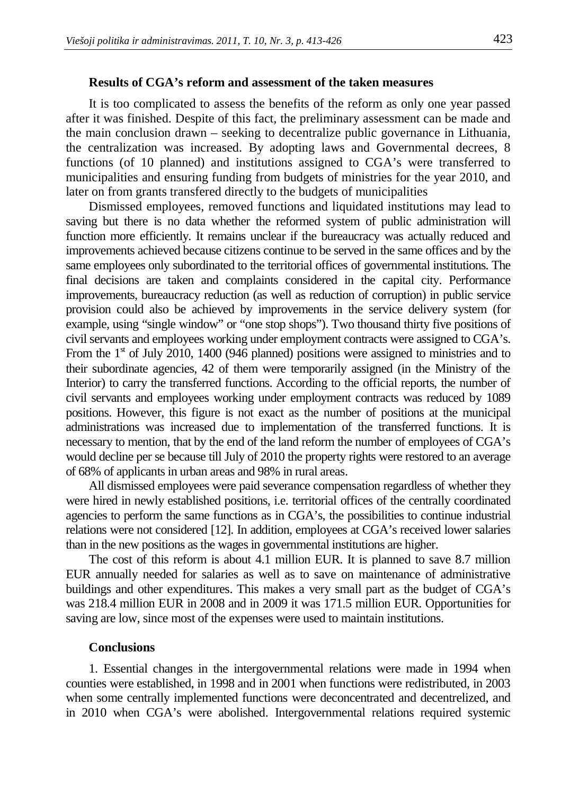#### **Results of CGA's reform and assessment of the taken measures**

It is too complicated to assess the benefits of the reform as only one year passed after it was finished. Despite of this fact, the preliminary assessment can be made and the main conclusion drawn – seeking to decentralize public governance in Lithuania, the centralization was increased. By adopting laws and Governmental decrees, 8 functions (of 10 planned) and institutions assigned to CGA's were transferred to municipalities and ensuring funding from budgets of ministries for the year 2010, and later on from grants transfered directly to the budgets of municipalities

Dismissed employees, removed functions and liquidated institutions may lead to saving but there is no data whether the reformed system of public administration will function more efficiently. It remains unclear if the bureaucracy was actually reduced and improvements achieved because citizens continue to be served in the same offices and by the same employees only subordinated to the territorial offices of governmental institutions. The final decisions are taken and complaints considered in the capital city. Performance improvements, bureaucracy reduction (as well as reduction of corruption) in public service provision could also be achieved by improvements in the service delivery system (for example, using "single window" or "one stop shops"). Two thousand thirty five positions of civil servants and employees working under employment contracts were assigned to CGA's. From the  $1<sup>st</sup>$  of July 2010, 1400 (946 planned) positions were assigned to ministries and to their subordinate agencies, 42 of them were temporarily assigned (in the Ministry of the Interior) to carry the transferred functions. According to the official reports, the number of civil servants and employees working under employment contracts was reduced by 1089 positions. However, this figure is not exact as the number of positions at the municipal administrations was increased due to implementation of the transferred functions. It is necessary to mention, that by the end of the land reform the number of employees of CGA's would decline per se because till July of 2010 the property rights were restored to an average of 68% of applicants in urban areas and 98% in rural areas.

All dismissed employees were paid severance compensation regardless of whether they were hired in newly established positions, i.e. territorial offices of the centrally coordinated agencies to perform the same functions as in CGA's, the possibilities to continue industrial relations were not considered [12]. In addition, employees at CGA's received lower salaries than in the new positions as the wages in governmental institutions are higher.

The cost of this reform is about 4.1 million EUR. It is planned to save 8.7 million EUR annually needed for salaries as well as to save on maintenance of administrative buildings and other expenditures. This makes a very small part as the budget of CGA's was 218.4 million EUR in 2008 and in 2009 it was 171.5 million EUR. Opportunities for saving are low, since most of the expenses were used to maintain institutions.

#### **Conclusions**

1. Essential changes in the intergovernmental relations were made in 1994 when counties were established, in 1998 and in 2001 when functions were redistributed, in 2003 when some centrally implemented functions were deconcentrated and decentrelized, and in 2010 when CGA's were abolished. Intergovernmental relations required systemic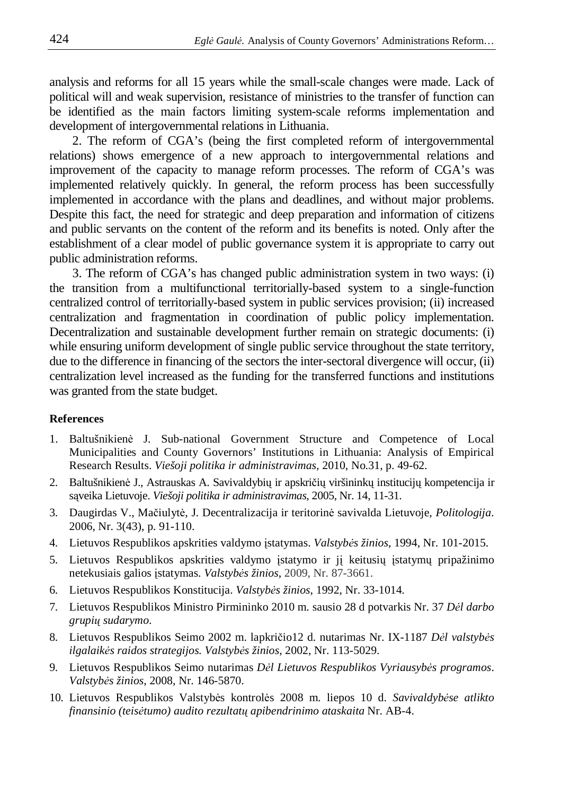analysis and reforms for all 15 years while the small-scale changes were made. Lack of political will and weak supervision, resistance of ministries to the transfer of function can be identified as the main factors limiting system-scale reforms implementation and development of intergovernmental relations in Lithuania.

2. The reform of CGA's (being the first completed reform of intergovernmental relations) shows emergence of a new approach to intergovernmental relations and improvement of the capacity to manage reform processes. The reform of CGA's was implemented relatively quickly. In general, the reform process has been successfully implemented in accordance with the plans and deadlines, and without major problems. Despite this fact, the need for strategic and deep preparation and information of citizens and public servants on the content of the reform and its benefits is noted. Only after the establishment of a clear model of public governance system it is appropriate to carry out public administration reforms.

3. The reform of CGA's has changed public administration system in two ways: (i) the transition from a multifunctional territorially-based system to a single-function centralized control of territorially-based system in public services provision; (ii) increased centralization and fragmentation in coordination of public policy implementation. Decentralization and sustainable development further remain on strategic documents: (i) while ensuring uniform development of single public service throughout the state territory, due to the difference in financing of the sectors the inter-sectoral divergence will occur, (ii) centralization level increased as the funding for the transferred functions and institutions was granted from the state budget.

#### **References**

- 1. Baltušnikien÷ J. Sub-national Government Structure and Competence of Local Municipalities and County Governors' Institutions in Lithuania: Analysis of Empirical Research Results. *Viešoji politika ir administravimas,* 2010, No.31, p. 49-62.
- 2. Baltušnikienė J., Astrauskas A. Savivaldybių ir apskričių viršininkų institucijų kompetencija ir sąveika Lietuvoje. *Viešoji politika ir administravimas,* 2005, Nr. 14, 11-31.
- 3. Daugirdas V., Mačiulytė, J. Decentralizacija ir teritorinė savivalda Lietuvoje, *Politologija*. 2006, Nr. 3(43), p. 91-110.
- 4. Lietuvos Respublikos apskrities valdymo įstatymas. *Valstyb*÷*s žinios*, 1994, Nr. 101-2015.
- 5. Lietuvos Respublikos apskrities valdymo įstatymo ir jį keitusių įstatymų pripažinimo netekusiais galios įstatymas. *Valstybės žinios*, 2009, Nr. 87-3661.
- 6. Lietuvos Respublikos Konstitucija. *Valstyb*÷*s žinios*, 1992, Nr. 33-1014.
- 7. Lietuvos Respublikos Ministro Pirmininko 2010 m. sausio 28 d potvarkis Nr. 37 *D*÷*l darbo grupi*ų *sudarymo*.
- 8. Lietuvos Respublikos Seimo 2002 m. lapkričio12 d. nutarimas Nr. IX-1187 *Dėl valstybės ilgalaik*÷*s raidos strategijos. Valstyb*÷*s žinios*, 2002, Nr. 113-5029.
- 9. Lietuvos Respublikos Seimo nutarimas *D*÷*l Lietuvos Respublikos Vyriausyb*÷*s programos*. *Valstyb*÷*s žinios*, 2008, Nr. 146-5870.
- 10. Lietuvos Respublikos Valstyb÷s kontrol÷s 2008 m. liepos 10 d. *Savivaldyb*÷*se atlikto finansinio (teis*÷*tumo) audito rezultat*ų *apibendrinimo ataskaita* Nr. AB-4.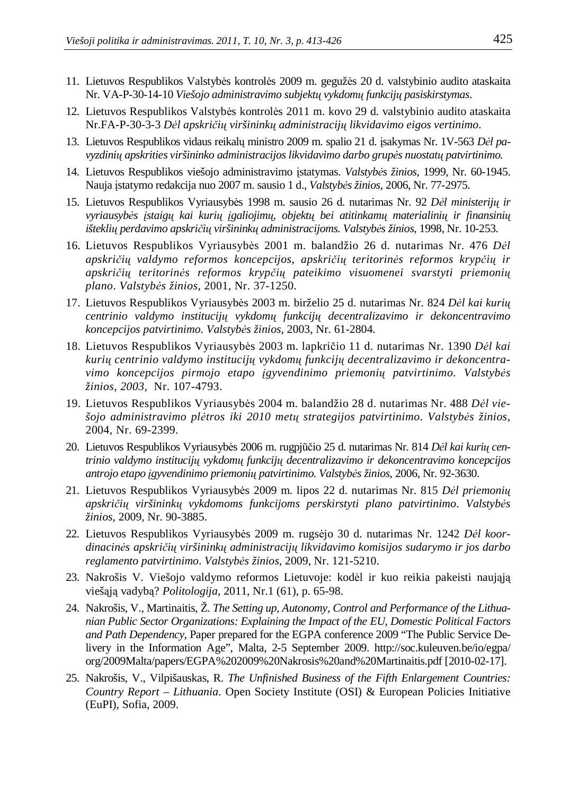- 11. Lietuvos Respublikos Valstybės kontrolės 2009 m. gegužės 20 d. valstybinio audito ataskaita Nr. VA-P-30-14-10 *Viešojo administravimo subjekt*ų *vykdom*ų *funkcij*ų *pasiskirstymas*.
- 12. Lietuvos Respublikos Valstybės kontrolės 2011 m. kovo 29 d. valstybinio audito ataskaita Nr.FA-P-30-3-3 *D*÷*l apskri*č*i*ų *viršinink*ų *administracij*ų *likvidavimo eigos vertinimo*.
- 13. Lietuvos Respublikos vidaus reikalų ministro 2009 m. spalio 21 d. isakymas Nr. 1V-563 *Dėl pavyzdini*ų *apskrities viršininko administracijos likvidavimo darbo grup*÷*s nuostat*ų *patvirtinimo.*
- 14. Lietuvos Respublikos viešojo administravimo įstatymas. *Valstyb*÷*s žinios*, 1999, Nr. 60-1945. Nauja įstatymo redakcija nuo 2007 m. sausio 1 d., *Valstyb*÷*s žinios*, 2006, Nr. 77-2975.
- 15. Lietuvos Respublikos Vyriausyb÷s 1998 m. sausio 26 d. nutarimas Nr. 92 *D*÷*l ministerij*ų *ir vyriausyb*÷*s* į*staig*ų *kai kuri*ų į*galiojim*ų*, objekt*ų *bei atitinkam*ų *materialini*ų *ir finansini*ų *ištekli*ų *perdavimo apskri*č*i*ų *viršinink*ų *administracijoms. Valstyb*÷*s žinios*, 1998, Nr. 10-253.
- 16. Lietuvos Respublikos Vyriausybės 2001 m. balandžio 26 d. nutarimas Nr. 476 *Dėl apskri*č*i*ų *valdymo reformos koncepcijos, apskri*č*i*ų *teritorin*÷*s reformos kryp*č*i*ų *ir apskri*č*i*ų *teritorin*÷*s reformos kryp*č*i*ų *pateikimo visuomenei svarstyti priemoni*ų *plano*. *Valstyb*÷*s žinios*, 2001, Nr. 37-1250.
- 17. Lietuvos Respublikos Vyriausyb÷s 2003 m. birželio 25 d. nutarimas Nr. 824 *D*÷*l kai kuri*ų *centrinio valdymo institucij*ų *vykdom*ų *funkcij*ų *decentralizavimo ir dekoncentravimo koncepcijos patvirtinimo. Valstyb*÷*s žinios,* 2003, Nr. 61-2804*.*
- 18. Lietuvos Respublikos Vyriausybės 2003 m. lapkričio 11 d. nutarimas Nr. 1390 Dėl kai *kuri*ų *centrinio valdymo institucij*ų *vykdom*ų *funkcij*ų *decentralizavimo ir dekoncentravimo koncepcijos pirmojo etapo* į*gyvendinimo priemoni*ų *patvirtinimo. Valstyb*÷*s žinios, 2003,* Nr. 107-4793.
- 19. Lietuvos Respublikos Vyriausybės 2004 m. balandžio 28 d. nutarimas Nr. 488 *Dėl viešojo administravimo pl*÷*tros iki 2010 met*ų *strategijos patvirtinimo*. *Valstyb*÷*s žinios*, 2004, Nr. 69-2399.
- 20. Lietuvos Respublikos Vyriausyb÷s 2006 m. rugpjūčio 25 d. nutarimas Nr. 814 *D*÷*l kai kuri*ų *centrinio valdymo institucij*ų *vykdom*ų *funkcij*ų *decentralizavimo ir dekoncentravimo koncepcijos antrojo etapo* į*gyvendinimo priemoni*ų *patvirtinimo. Valstyb*÷*s žinios,* 2006, Nr. 92-3630.
- 21. Lietuvos Respublikos Vyriausyb÷s 2009 m. lipos 22 d. nutarimas Nr. 815 *D*÷*l priemoni*ų *apskri*č*i*ų *viršinink*ų *vykdomoms funkcijoms perskirstyti plano patvirtinimo*. *Valstyb*÷*s žinios*, 2009, Nr. 90-3885.
- 22. Lietuvos Respublikos Vyriausybės 2009 m. rugsėjo 30 d. nutarimas Nr. 1242 *Dėl koordinacin*÷*s apskri*č*i*ų *viršinink*ų *administracij*ų *likvidavimo komisijos sudarymo ir jos darbo reglamento patvirtinimo*. *Valstyb*÷*s žinios*, 2009, Nr. 121-5210.
- 23. Nakrošis V. Viešojo valdymo reformos Lietuvoje: kodėl ir kuo reikia pakeisti naująją viešąją vadybą? *Politologija*, 2011, Nr.1 (61), p. 65-98.
- 24. Nakrošis, V., Martinaitis, Ž. *The Setting up, Autonomy, Control and Performance of the Lithuanian Public Sector Organizations: Explaining the Impact of the EU, Domestic Political Factors and Path Dependency*, Paper prepared for the EGPA conference 2009 "The Public Service Delivery in the Information Age", Malta, 2-5 September 2009. http://soc.kuleuven.be/io/egpa/ org/2009Malta/papers/EGPA%202009%20Nakrosis%20and%20Martinaitis.pdf [2010-02-17].
- 25. Nakrošis, V., Vilpišauskas, R. *The Unfinished Business of the Fifth Enlargement Countries: Country Report – Lithuania*. Open Society Institute (OSI) & European Policies Initiative (EuPI), Sofia, 2009.